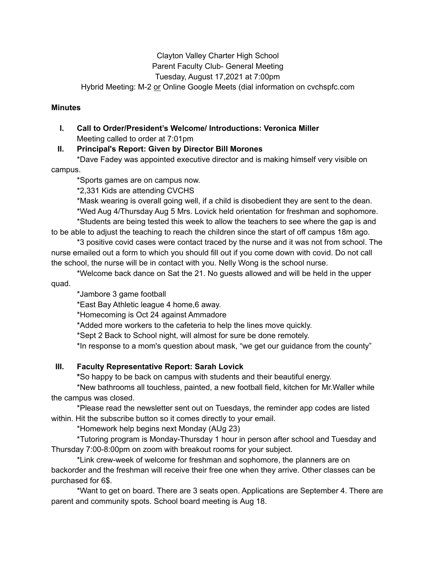#### Clayton Valley Charter High School Parent Faculty Club- General Meeting Tuesday, August 17,2021 at 7:00pm Hybrid Meeting: M-2 or Online Google Meets (dial information on cvchspfc.com

#### **Minutes**

#### **I. Call to Order/President's Welcome/ Introductions: Veronica Miller** Meeting called to order at 7:01pm

#### **II. Principal's Report: Given by Director Bill Morones**

\*Dave Fadey was appointed executive director and is making himself very visible on

campus.

\*Sports games are on campus now.

\*2,331 Kids are attending CVCHS

\*Mask wearing is overall going well, if a child is disobedient they are sent to the dean.

\*Wed Aug 4/Thursday Aug 5 Mrs. Lovick held orientation for freshman and sophomore. \*Students are being tested this week to allow the teachers to see where the gap is and to be able to adjust the teaching to reach the children since the start of off campus 18m ago.

\*3 positive covid cases were contact traced by the nurse and it was not from school. The nurse emailed out a form to which you should fill out if you come down with covid. Do not call the school, the nurse will be in contact with you. Nelly Wong is the school nurse.

\*Welcome back dance on Sat the 21. No guests allowed and will be held in the upper quad.

\*Jambore 3 game football

\*East Bay Athletic league 4 home,6 away.

\*Homecoming is Oct 24 against Ammadore

\*Added more workers to the cafeteria to help the lines move quickly.

\*Sept 2 Back to School night, will almost for sure be done remotely.

\*In response to a mom's question about mask, "we get our guidance from the county"

#### **III. Faculty Representative Report: Sarah Lovick**

**\***So happy to be back on campus with students and their beautiful energy.

\*New bathrooms all touchless, painted, a new football field, kitchen for Mr.Waller while the campus was closed.

\*Please read the newsletter sent out on Tuesdays, the reminder app codes are listed within. Hit the subscribe button so it comes directly to your email.

\*Homework help begins next Monday (AUg 23)

\*Tutoring program is Monday-Thursday 1 hour in person after school and Tuesday and Thursday 7:00-8:00pm on zoom with breakout rooms for your subject.

\*Link crew-week of welcome for freshman and sophomore, the planners are on backorder and the freshman will receive their free one when they arrive. Other classes can be purchased for 6\$.

\*Want to get on board. There are 3 seats open. Applications are September 4. There are parent and community spots. School board meeting is Aug 18.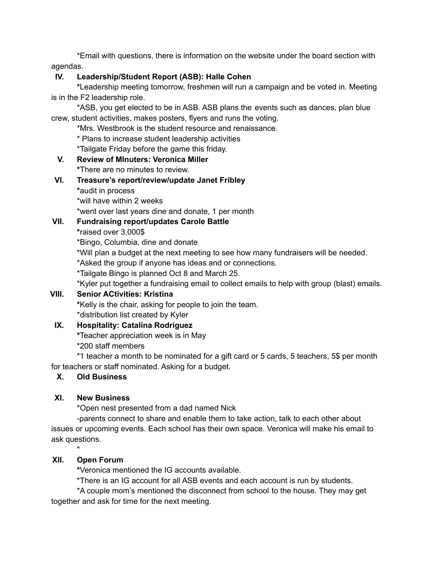\*Email with questions, there is information on the website under the board section with agendas.

#### **IV. Leadership/Student Report (ASB): Halle Cohen**

**\***Leadership meeting tomorrow, freshmen will run a campaign and be voted in. Meeting is in the F2 leadership role.

\*ASB, you get elected to be in ASB. ASB plans the events such as dances, plan blue crew, student activities, makes posters, flyers and runs the voting.

\*Mrs. Westbrook is the student resource and renaissance.

\* Plans to increase student leadership activities

\*Tailgate Friday before the game this friday.

#### **V. Review of MInuters: Veronica Miller**

**\***There are no minutes to review.

#### **VI. Treasure's report/review/update Janet Fribley**

**\***audit in process

\*will have within 2 weeks

\*went over last years dine and donate, 1 per month

#### **VII. Fundraising report/updates Carole Battle**

**\***raised over 3,000\$

\*Bingo, Columbia, dine and donate

\*Will plan a budget at the next meeting to see how many fundraisers will be needed.

\*Asked the group if anyone has ideas and or connections.

\*Tailgate Bingo is planned Oct 8 and March 25.

\*Kyler put together a fundraising email to collect emails to help with group (blast) emails.

# **VIII. Senior ACtivities: Kristina**

**\***Kelly is the chair, asking for people to join the team.

# \*distribution list created by Kyler

# **IX. Hospitality: Catalina Rodriguez**

**\***Teacher appreciation week is in May

\*200 staff members

\*1 teacher a month to be nominated for a gift card or 5 cards, 5 teachers, 5\$ per month for teachers or staff nominated. Asking for a budget.

# **X. Old Business**

# **XI. New Business**

\*Open nest presented from a dad named Nick

-parents connect to share and enable them to take action, talk to each other about issues or upcoming events. Each school has their own space. Veronica will make his email to ask questions.

# **XII. Open Forum**

\*

**\***Veronica mentioned the IG accounts available.

\*There is an IG account for all ASB events and each account is run by students.

\*A couple mom's mentioned the disconnect from school to the house. They may get together and ask for time for the next meeting.